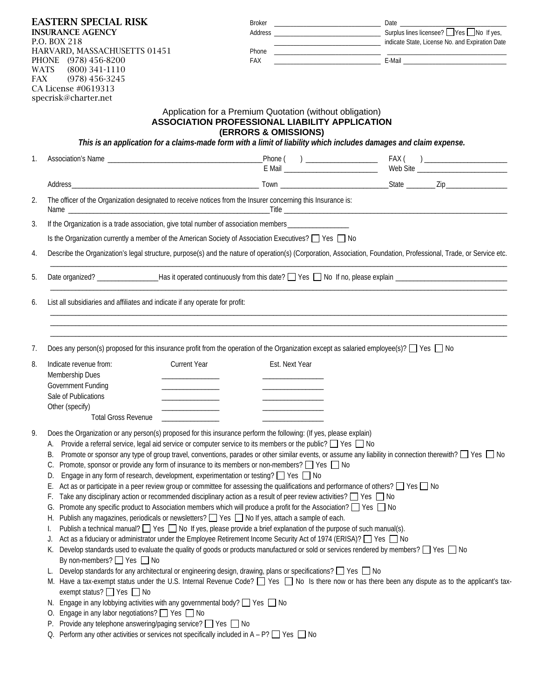| <b>EASTERN SPECIAL RISK</b><br><b>INSURANCE AGENCY</b><br>P.O. BOX 218<br>HARVARD, MASSACHUSETTS 01451<br>PHONE (978) 456-8200<br><b>WATS</b><br>$(800)$ 341-1110<br>$(978)$ 456-3245<br><b>FAX</b><br>CA License #0619313<br>specrisk@charter.net |                                                                                                                                                                                                                                                                                                                                                                                                                                                                                                                                                                                                                                                                                                                                                                                                                                                                                                                                                                                                                                                                                                                                                                                                                                                                                                                                                                                                                                                                                                                                                                                                                                                                                                                                                                                                                                                                                                                                                                                                                                                                                                                                                                                                                                                                     | Broker                                                                                                                                            | Material Contract Professor and Expiration Date Contract Professor and Expiration Date                                                                             |  |  |  |  |  |  |
|----------------------------------------------------------------------------------------------------------------------------------------------------------------------------------------------------------------------------------------------------|---------------------------------------------------------------------------------------------------------------------------------------------------------------------------------------------------------------------------------------------------------------------------------------------------------------------------------------------------------------------------------------------------------------------------------------------------------------------------------------------------------------------------------------------------------------------------------------------------------------------------------------------------------------------------------------------------------------------------------------------------------------------------------------------------------------------------------------------------------------------------------------------------------------------------------------------------------------------------------------------------------------------------------------------------------------------------------------------------------------------------------------------------------------------------------------------------------------------------------------------------------------------------------------------------------------------------------------------------------------------------------------------------------------------------------------------------------------------------------------------------------------------------------------------------------------------------------------------------------------------------------------------------------------------------------------------------------------------------------------------------------------------------------------------------------------------------------------------------------------------------------------------------------------------------------------------------------------------------------------------------------------------------------------------------------------------------------------------------------------------------------------------------------------------------------------------------------------------------------------------------------------------|---------------------------------------------------------------------------------------------------------------------------------------------------|--------------------------------------------------------------------------------------------------------------------------------------------------------------------|--|--|--|--|--|--|
|                                                                                                                                                                                                                                                    |                                                                                                                                                                                                                                                                                                                                                                                                                                                                                                                                                                                                                                                                                                                                                                                                                                                                                                                                                                                                                                                                                                                                                                                                                                                                                                                                                                                                                                                                                                                                                                                                                                                                                                                                                                                                                                                                                                                                                                                                                                                                                                                                                                                                                                                                     | FAX                                                                                                                                               |                                                                                                                                                                    |  |  |  |  |  |  |
|                                                                                                                                                                                                                                                    | Application for a Premium Quotation (without obligation)<br><b>ASSOCIATION PROFESSIONAL LIABILITY APPLICATION</b><br>(ERRORS & OMISSIONS)<br>This is an application for a claims-made form with a limit of liability which includes damages and claim expense.                                                                                                                                                                                                                                                                                                                                                                                                                                                                                                                                                                                                                                                                                                                                                                                                                                                                                                                                                                                                                                                                                                                                                                                                                                                                                                                                                                                                                                                                                                                                                                                                                                                                                                                                                                                                                                                                                                                                                                                                      |                                                                                                                                                   |                                                                                                                                                                    |  |  |  |  |  |  |
| 1.                                                                                                                                                                                                                                                 |                                                                                                                                                                                                                                                                                                                                                                                                                                                                                                                                                                                                                                                                                                                                                                                                                                                                                                                                                                                                                                                                                                                                                                                                                                                                                                                                                                                                                                                                                                                                                                                                                                                                                                                                                                                                                                                                                                                                                                                                                                                                                                                                                                                                                                                                     |                                                                                                                                                   |                                                                                                                                                                    |  |  |  |  |  |  |
|                                                                                                                                                                                                                                                    |                                                                                                                                                                                                                                                                                                                                                                                                                                                                                                                                                                                                                                                                                                                                                                                                                                                                                                                                                                                                                                                                                                                                                                                                                                                                                                                                                                                                                                                                                                                                                                                                                                                                                                                                                                                                                                                                                                                                                                                                                                                                                                                                                                                                                                                                     |                                                                                                                                                   |                                                                                                                                                                    |  |  |  |  |  |  |
| 2.                                                                                                                                                                                                                                                 |                                                                                                                                                                                                                                                                                                                                                                                                                                                                                                                                                                                                                                                                                                                                                                                                                                                                                                                                                                                                                                                                                                                                                                                                                                                                                                                                                                                                                                                                                                                                                                                                                                                                                                                                                                                                                                                                                                                                                                                                                                                                                                                                                                                                                                                                     | The officer of the Organization designated to receive notices from the Insurer concerning this Insurance is:                                      |                                                                                                                                                                    |  |  |  |  |  |  |
| 3.                                                                                                                                                                                                                                                 |                                                                                                                                                                                                                                                                                                                                                                                                                                                                                                                                                                                                                                                                                                                                                                                                                                                                                                                                                                                                                                                                                                                                                                                                                                                                                                                                                                                                                                                                                                                                                                                                                                                                                                                                                                                                                                                                                                                                                                                                                                                                                                                                                                                                                                                                     | If the Organization is a trade association, give total number of association members _________________________                                    |                                                                                                                                                                    |  |  |  |  |  |  |
|                                                                                                                                                                                                                                                    |                                                                                                                                                                                                                                                                                                                                                                                                                                                                                                                                                                                                                                                                                                                                                                                                                                                                                                                                                                                                                                                                                                                                                                                                                                                                                                                                                                                                                                                                                                                                                                                                                                                                                                                                                                                                                                                                                                                                                                                                                                                                                                                                                                                                                                                                     | Is the Organization currently a member of the American Society of Association Executives? $\Box$ Yes $\Box$ No                                    |                                                                                                                                                                    |  |  |  |  |  |  |
| 4.                                                                                                                                                                                                                                                 |                                                                                                                                                                                                                                                                                                                                                                                                                                                                                                                                                                                                                                                                                                                                                                                                                                                                                                                                                                                                                                                                                                                                                                                                                                                                                                                                                                                                                                                                                                                                                                                                                                                                                                                                                                                                                                                                                                                                                                                                                                                                                                                                                                                                                                                                     |                                                                                                                                                   | Describe the Organization's legal structure, purpose(s) and the nature of operation(s) (Corporation, Association, Foundation, Professional, Trade, or Service etc. |  |  |  |  |  |  |
| 5.                                                                                                                                                                                                                                                 |                                                                                                                                                                                                                                                                                                                                                                                                                                                                                                                                                                                                                                                                                                                                                                                                                                                                                                                                                                                                                                                                                                                                                                                                                                                                                                                                                                                                                                                                                                                                                                                                                                                                                                                                                                                                                                                                                                                                                                                                                                                                                                                                                                                                                                                                     |                                                                                                                                                   |                                                                                                                                                                    |  |  |  |  |  |  |
| 6.                                                                                                                                                                                                                                                 | List all subsidiaries and affiliates and indicate if any operate for profit:                                                                                                                                                                                                                                                                                                                                                                                                                                                                                                                                                                                                                                                                                                                                                                                                                                                                                                                                                                                                                                                                                                                                                                                                                                                                                                                                                                                                                                                                                                                                                                                                                                                                                                                                                                                                                                                                                                                                                                                                                                                                                                                                                                                        |                                                                                                                                                   |                                                                                                                                                                    |  |  |  |  |  |  |
| 7.                                                                                                                                                                                                                                                 |                                                                                                                                                                                                                                                                                                                                                                                                                                                                                                                                                                                                                                                                                                                                                                                                                                                                                                                                                                                                                                                                                                                                                                                                                                                                                                                                                                                                                                                                                                                                                                                                                                                                                                                                                                                                                                                                                                                                                                                                                                                                                                                                                                                                                                                                     | Does any person(s) proposed for this insurance profit from the operation of the Organization except as salaried employee(s)? $\Box$ Yes $\Box$ No |                                                                                                                                                                    |  |  |  |  |  |  |
| 8.                                                                                                                                                                                                                                                 | Indicate revenue from:<br>Membership Dues<br>Government Funding<br>Sale of Publications<br>Other (specify)<br><b>Total Gross Revenue</b>                                                                                                                                                                                                                                                                                                                                                                                                                                                                                                                                                                                                                                                                                                                                                                                                                                                                                                                                                                                                                                                                                                                                                                                                                                                                                                                                                                                                                                                                                                                                                                                                                                                                                                                                                                                                                                                                                                                                                                                                                                                                                                                            | <b>Current Year</b><br>Est. Next Year                                                                                                             |                                                                                                                                                                    |  |  |  |  |  |  |
| 9.                                                                                                                                                                                                                                                 | Does the Organization or any person(s) proposed for this insurance perform the following: (If yes, please explain)<br>Provide a referral service, legal aid service or computer service to its members or the public? $\Box$ Yes $\Box$ No<br>А.<br>Promote or sponsor any type of group travel, conventions, parades or other similar events, or assume any liability in connection therewith? □ Yes □ No<br>В.<br>Promote, sponsor or provide any form of insurance to its members or non-members? $\Box$ Yes $\Box$ No<br>C.<br>Engage in any form of research, development, experimentation or testing? $\Box$ Yes $\Box$ No<br>D.<br>Act as or participate in a peer review group or committee for assessing the qualifications and performance of others? $\Box$ Yes $\Box$ No<br>E.<br>Take any disciplinary action or recommended disciplinary action as a result of peer review activities? $\Box$ Yes $\Box$ No<br>F.<br>Promote any specific product to Association members which will produce a profit for the Association? $\Box$ Yes $\Box$ No<br>G.<br>Publish any magazines, periodicals or newsletters? Ves No If yes, attach a sample of each.<br>Н.<br>Publish a technical manual? $\Box$ Yes $\Box$ No If yes, please provide a brief explanation of the purpose of such manual(s).<br>Act as a fiduciary or administrator under the Employee Retirement Income Security Act of 1974 (ERISA)? □ Yes □ No<br>J.<br>Develop standards used to evaluate the quality of goods or products manufactured or sold or services rendered by members? [ Yes   No<br>К.<br>By non-members? $\Box$ Yes $\Box$ No<br>Develop standards for any architectural or engineering design, drawing, plans or specifications? $\Box$ Yes $\Box$ No<br>L.<br>M. Have a tax-exempt status under the U.S. Internal Revenue Code? T Yes No Is there now or has there been any dispute as to the applicant's tax-<br>exempt status? $\Box$ Yes $\Box$ No<br>N. Engage in any lobbying activities with any governmental body? □ Yes □ No<br>O. Engage in any labor negotiations? □ Yes □ No<br>Provide any telephone answering/paging service? □ Yes □ No<br>P.<br>Perform any other activities or services not specifically included in A - P? $\Box$ Yes $\Box$ No<br>Q. |                                                                                                                                                   |                                                                                                                                                                    |  |  |  |  |  |  |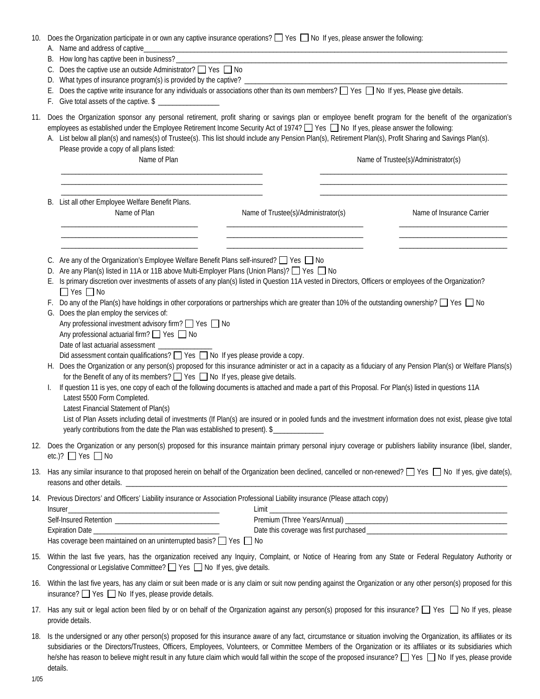| 10. | Does the Organization participate in or own any captive insurance operations? $\Box$ Yes $\Box$ No If yes, please answer the following:<br>A. Name and address of captive_<br><u> 1989 - Johann Stein, mars ann an t-Amhain ann an t-Amhain an t-Amhain an t-Amhain an t-Amhain an t-Amhain an </u>                                   |                                                                                                                                                                                                                                                                                                                                                                                                                                                                                                                       |  |  |  |  |  |  |
|-----|---------------------------------------------------------------------------------------------------------------------------------------------------------------------------------------------------------------------------------------------------------------------------------------------------------------------------------------|-----------------------------------------------------------------------------------------------------------------------------------------------------------------------------------------------------------------------------------------------------------------------------------------------------------------------------------------------------------------------------------------------------------------------------------------------------------------------------------------------------------------------|--|--|--|--|--|--|
|     | How long has captive been in business? ______________<br>В.<br>the control of the control of the control of the control of the control of the control of the control of the control of the control of the control of the control of the control of the control of the control of the control                                          |                                                                                                                                                                                                                                                                                                                                                                                                                                                                                                                       |  |  |  |  |  |  |
|     | C.<br>D.                                                                                                                                                                                                                                                                                                                              | Does the captive use an outside Administrator? $\Box$ Yes $\Box$ No<br>What types of insurance program(s) is provided by the captive? _                                                                                                                                                                                                                                                                                                                                                                               |  |  |  |  |  |  |
|     |                                                                                                                                                                                                                                                                                                                                       | Does the captive write insurance for any individuals or associations other than its own members? T Yes T No If yes, Please give details.                                                                                                                                                                                                                                                                                                                                                                              |  |  |  |  |  |  |
| 11. |                                                                                                                                                                                                                                                                                                                                       | Does the Organization sponsor any personal retirement, profit sharing or savings plan or employee benefit program for the benefit of the organization's<br>employees as established under the Employee Retirement Income Security Act of 1974? $\Box$ Yes $\Box$ No If yes, please answer the following:<br>A. List below all plan(s) and names(s) of Trustee(s). This list should include any Pension Plan(s), Retirement Plan(s), Profit Sharing and Savings Plan(s).<br>Please provide a copy of all plans listed: |  |  |  |  |  |  |
|     |                                                                                                                                                                                                                                                                                                                                       | Name of Plan<br>Name of Trustee(s)/Administrator(s)                                                                                                                                                                                                                                                                                                                                                                                                                                                                   |  |  |  |  |  |  |
|     | В.                                                                                                                                                                                                                                                                                                                                    | List all other Employee Welfare Benefit Plans.<br>Name of Plan<br>Name of Insurance Carrier<br>Name of Trustee(s)/Administrator(s)                                                                                                                                                                                                                                                                                                                                                                                    |  |  |  |  |  |  |
|     |                                                                                                                                                                                                                                                                                                                                       | C. Are any of the Organization's Employee Welfare Benefit Plans self-insured? □ Yes □ No<br>Are any Plan(s) listed in 11A or 11B above Multi-Employer Plans (Union Plans)? □ Yes □ No                                                                                                                                                                                                                                                                                                                                 |  |  |  |  |  |  |
|     |                                                                                                                                                                                                                                                                                                                                       | E. Is primary discretion over investments of assets of any plan(s) listed in Question 11A vested in Directors, Officers or employees of the Organization?<br>$\Box$ Yes $\Box$ No                                                                                                                                                                                                                                                                                                                                     |  |  |  |  |  |  |
|     |                                                                                                                                                                                                                                                                                                                                       | F. Do any of the Plan(s) have holdings in other corporations or partnerships which are greater than 10% of the outstanding ownership? $\Box$ Yes $\Box$ No<br>G. Does the plan employ the services of:                                                                                                                                                                                                                                                                                                                |  |  |  |  |  |  |
|     |                                                                                                                                                                                                                                                                                                                                       | Any professional investment advisory firm? □ Yes □ No                                                                                                                                                                                                                                                                                                                                                                                                                                                                 |  |  |  |  |  |  |
|     |                                                                                                                                                                                                                                                                                                                                       | Any professional actuarial firm? ■ Yes ■ No                                                                                                                                                                                                                                                                                                                                                                                                                                                                           |  |  |  |  |  |  |
|     |                                                                                                                                                                                                                                                                                                                                       | Date of last actuarial assessment _____<br>Did assessment contain qualifications? $\Box$ Yes $\Box$ No If yes please provide a copy.                                                                                                                                                                                                                                                                                                                                                                                  |  |  |  |  |  |  |
|     |                                                                                                                                                                                                                                                                                                                                       | H. Does the Organization or any person(s) proposed for this insurance administer or act in a capacity as a fiduciary of any Pension Plan(s) or Welfare Plans(s)                                                                                                                                                                                                                                                                                                                                                       |  |  |  |  |  |  |
|     |                                                                                                                                                                                                                                                                                                                                       | for the Benefit of any of its members? $\Box$ Yes $\Box$ No If yes, please give details.                                                                                                                                                                                                                                                                                                                                                                                                                              |  |  |  |  |  |  |
|     | L.                                                                                                                                                                                                                                                                                                                                    | If question 11 is yes, one copy of each of the following documents is attached and made a part of this Proposal. For Plan(s) listed in questions 11A                                                                                                                                                                                                                                                                                                                                                                  |  |  |  |  |  |  |
|     |                                                                                                                                                                                                                                                                                                                                       | Latest 5500 Form Completed.                                                                                                                                                                                                                                                                                                                                                                                                                                                                                           |  |  |  |  |  |  |
|     |                                                                                                                                                                                                                                                                                                                                       | Latest Financial Statement of Plan(s)<br>List of Plan Assets including detail of investments (If Plan(s) are insured or in pooled funds and the investment information does not exist, please give total                                                                                                                                                                                                                                                                                                              |  |  |  |  |  |  |
|     |                                                                                                                                                                                                                                                                                                                                       | yearly contributions from the date the Plan was established to present). \$                                                                                                                                                                                                                                                                                                                                                                                                                                           |  |  |  |  |  |  |
|     |                                                                                                                                                                                                                                                                                                                                       | 12. Does the Organization or any person(s) proposed for this insurance maintain primary personal injury coverage or publishers liability insurance (libel, slander,<br>etc.)? $\Box$ Yes $\Box$ No                                                                                                                                                                                                                                                                                                                    |  |  |  |  |  |  |
| 13. |                                                                                                                                                                                                                                                                                                                                       | Has any similar insurance to that proposed herein on behalf of the Organization been declined, cancelled or non-renewed? $\Box$ Yes $\Box$ No If yes, give date(s),                                                                                                                                                                                                                                                                                                                                                   |  |  |  |  |  |  |
|     | 14. Previous Directors' and Officers' Liability insurance or Association Professional Liability insurance (Please attach copy)<br>$Limit$ <sub>--</sub><br>Insurer<br><u> 1989 - Johann John Stein, mars an deus Amerikaansk kommunister (* 1958)</u>                                                                                 |                                                                                                                                                                                                                                                                                                                                                                                                                                                                                                                       |  |  |  |  |  |  |
|     |                                                                                                                                                                                                                                                                                                                                       |                                                                                                                                                                                                                                                                                                                                                                                                                                                                                                                       |  |  |  |  |  |  |
|     |                                                                                                                                                                                                                                                                                                                                       |                                                                                                                                                                                                                                                                                                                                                                                                                                                                                                                       |  |  |  |  |  |  |
|     |                                                                                                                                                                                                                                                                                                                                       | Has coverage been maintained on an uninterrupted basis? □ Yes □ No                                                                                                                                                                                                                                                                                                                                                                                                                                                    |  |  |  |  |  |  |
| 15. |                                                                                                                                                                                                                                                                                                                                       | Within the last five years, has the organization received any Inquiry, Complaint, or Notice of Hearing from any State or Federal Regulatory Authority or<br>Congressional or Legislative Committee? ■ Yes ■ No If yes, give details.                                                                                                                                                                                                                                                                                  |  |  |  |  |  |  |
| 16. | Within the last five years, has any claim or suit been made or is any claim or suit now pending against the Organization or any other person(s) proposed for this<br>insurance? $\Box$ Yes $\Box$ No If yes, please provide details.                                                                                                  |                                                                                                                                                                                                                                                                                                                                                                                                                                                                                                                       |  |  |  |  |  |  |
| 17. |                                                                                                                                                                                                                                                                                                                                       | Has any suit or legal action been filed by or on behalf of the Organization against any person(s) proposed for this insurance? $\Box$ Yes $\Box$ No If yes, please<br>provide details.                                                                                                                                                                                                                                                                                                                                |  |  |  |  |  |  |
|     | 18. Is the undersigned or any other person(s) proposed for this insurance aware of any fact, circumstance or situation involving the Organization, its affiliates or its<br>subsidiaries or the Directors/Trustees Officers Employees Volunteers or Committee Members of the Organization or its affiliates or its subsidiaries which |                                                                                                                                                                                                                                                                                                                                                                                                                                                                                                                       |  |  |  |  |  |  |

| 8.   Is the undersigned or any other person(s) proposed for this insurance aware or any fact, circumstance or situation involving the Organization, its affiliates or its |
|---------------------------------------------------------------------------------------------------------------------------------------------------------------------------|
| subsidiaries or the Directors/Trustees, Officers, Employees, Volunteers, or Committee Members of the Organization or its affiliates or its subsidiaries which             |
| he/she has reason to believe might result in any future claim which would fall within the scope of the proposed insurance? The Summer of the probase provide              |
| details.                                                                                                                                                                  |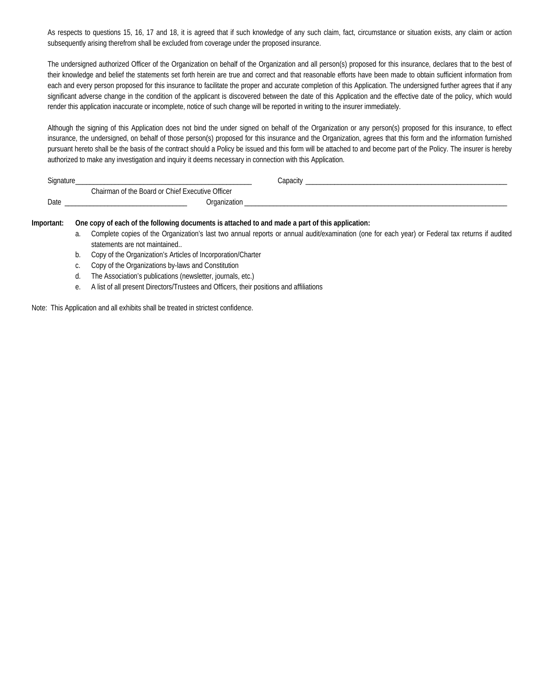As respects to questions 15, 16, 17 and 18, it is agreed that if such knowledge of any such claim, fact, circumstance or situation exists, any claim or action subsequently arising therefrom shall be excluded from coverage under the proposed insurance.

The undersigned authorized Officer of the Organization on behalf of the Organization and all person(s) proposed for this insurance, declares that to the best of their knowledge and belief the statements set forth herein are true and correct and that reasonable efforts have been made to obtain sufficient information from each and every person proposed for this insurance to facilitate the proper and accurate completion of this Application. The undersigned further agrees that if any significant adverse change in the condition of the applicant is discovered between the date of this Application and the effective date of the policy, which would render this application inaccurate or incomplete, notice of such change will be reported in writing to the insurer immediately.

Although the signing of this Application does not bind the under signed on behalf of the Organization or any person(s) proposed for this insurance, to effect insurance, the undersigned, on behalf of those person(s) proposed for this insurance and the Organization, agrees that this form and the information furnished pursuant hereto shall be the basis of the contract should a Policy be issued and this form will be attached to and become part of the Policy. The insurer is hereby authorized to make any investigation and inquiry it deems necessary in connection with this Application.

| Signature |                                                  | Capacity |  |
|-----------|--------------------------------------------------|----------|--|
|           | Chairman of the Board or Chief Executive Officer |          |  |
| Date      | Organization                                     |          |  |

## **Important: One copy of each of the following documents is attached to and made a part of this application:**

- a. Complete copies of the Organization's last two annual reports or annual audit/examination (one for each year) or Federal tax returns if audited statements are not maintained..
- b. Copy of the Organization's Articles of Incorporation/Charter
- c. Copy of the Organizations by-laws and Constitution
- d. The Association's publications (newsletter, journals, etc.)
- e. A list of all present Directors/Trustees and Officers, their positions and affiliations

Note: This Application and all exhibits shall be treated in strictest confidence.